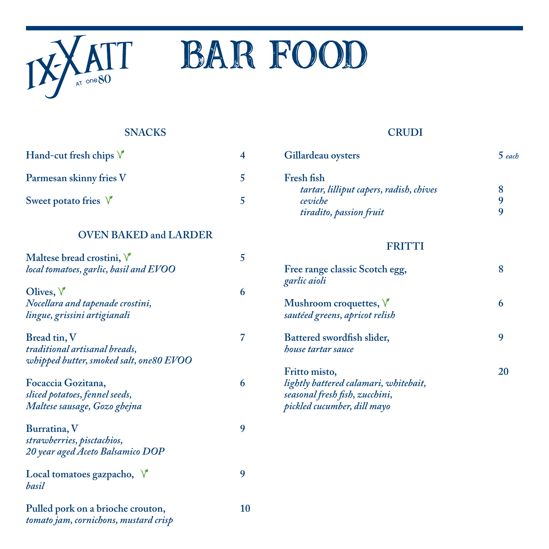

# **ATT BAR FOOD**

## **SNACKS**

| Hand-cut fresh chips $\sqrt{\ }$ |  |
|----------------------------------|--|
| Parmesan skinny fries V          |  |
| Sweet potato fries $\sqrt{\ }$   |  |

#### **OVEN BAKED and LARDER**

| Maltese bread crostini, V<br>local tomatoes, garlic, basil and EVOO                      | 5  |
|------------------------------------------------------------------------------------------|----|
| Olives, $\sqrt{\ }$<br>Nocellara and tapenade crostini,<br>lingue, grissini artigianali  | 6  |
| Bread tin, V<br>traditional artisanal breads,<br>whipped butter, smoked salt, one80 EVOO | 7  |
| Focaccia Gozitana,<br>sliced potatoes, fennel seeds,<br>Maltese sausage, Gozo gbejna     | 6  |
| Burratina, V<br>strawberries, pisctachios,<br>20 year aged Aceto Balsamico DOP           | 9  |
| Local tomatoes gazpacho, $\sqrt{ }$<br>basil                                             | 9  |
| Pulled pork on a brioche crouton,<br>tomato jam, cornichons, mustard crisp               | 10 |

## **CRUDI**

| Gillardeau oysters                      | $5$ each |
|-----------------------------------------|----------|
| Fresh fish                              |          |
| tartar, lilliput capers, radish, chives |          |
| ceviche                                 | Q        |
| tiradito, passion fruit                 | Q        |

#### **FRITTI**

| Free range classic Scotch egg,<br>garlic aioli                                                                          |    |
|-------------------------------------------------------------------------------------------------------------------------|----|
| Mushroom croquettes, $\sqrt{\ }$<br>sautéed greens, apricot relish                                                      |    |
| Battered swordfish slider,<br><i>house tartar sauce</i>                                                                 |    |
| Fritto misto,<br>lightly battered calamari, whitebait,<br>seasonal fresh fish, zucchini,<br>pickled cucumber, dill mayo | 20 |